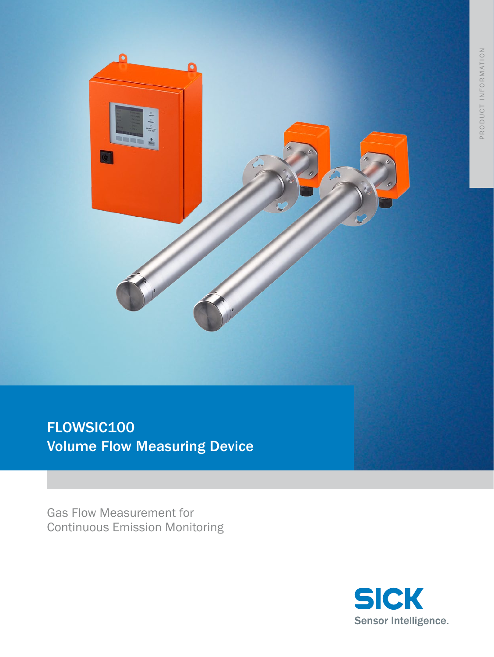

FLOWSIC100 **Volume Flow Measuring Device** 

**Gas Flow Measurement for Continuous Emission Monitoring** 

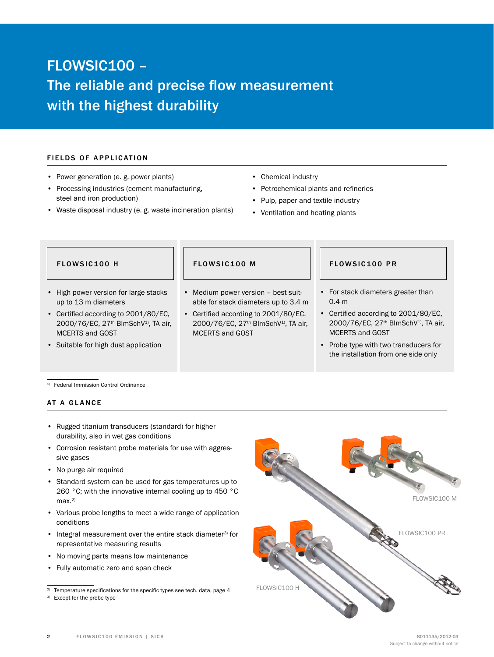# FLOWSIC100 – The reliable and precise flow measurement with the highest durability

### FIELDS OF APPLICATION

- • Power generation (e. g. power plants)
- Processing industries (cement manufacturing, steel and iron production)
- Waste disposal industry (e. g. waste incineration plants)
- • Chemical industry
- • Petrochemical plants and refineries
- • Pulp, paper and textile industry
- Ventilation and heating plants

- • High power version for large stacks up to 13 m diameters
- • Certified according to 2001/80/EC, 2000/76/EC, 27<sup>th</sup> BlmSchV<sup>1</sup>), TA air, MCERTS and GOST
- • Suitable for high dust application

- Medium power version best suitable for stack diameters up to 3.4 m
- • Certified according to 2001/80/EC, 2000/76/EC, 27<sup>th</sup> BlmSchV<sup>1)</sup>, TA air, MCERTS and GOST

#### FLOWSIC100 H FLOWSIC100 M FLOWSIC100 PR

- • For stack diameters greater than 0.4 m
- • Certified according to 2001/80/EC, 2000/76/EC, 27<sup>th</sup> BlmSchV<sup>1)</sup>, TA air, MCERTS and GOST
- • Probe type with two transducers for the installation from one side only

1) Federal Immission Control Ordinance

#### AT A GLANCE

- Rugged titanium transducers (standard) for higher durability, also in wet gas conditions
- Corrosion resistant probe materials for use with aggressive gases
- No purge air required
- Standard system can be used for gas temperatures up to 260 °C; with the innovative internal cooling up to 450 °C max.<sup>2)</sup>
- Various probe lengths to meet a wide range of application conditions
- Integral measurement over the entire stack diameter<sup>3)</sup> for representative measuring results
- • No moving parts means low maintenance
- • Fully automatic zero and span check



<sup>&</sup>lt;sup>2)</sup> Temperature specifications for the specific types see tech. data, page 4

<sup>&</sup>lt;sup>3)</sup> Except for the probe type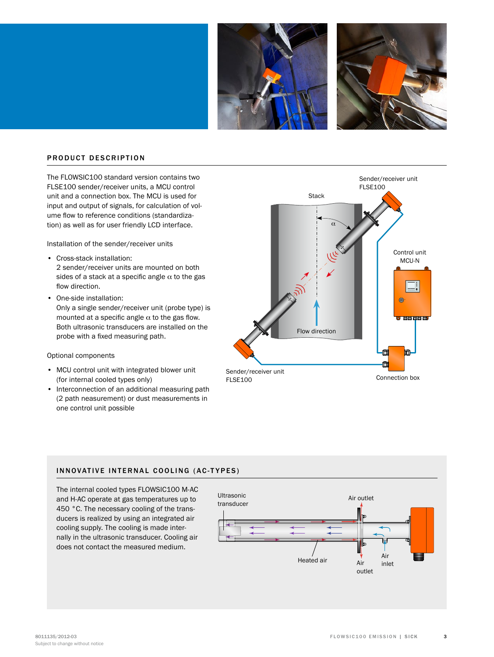



#### PRODUCT DESCRIPTION

The FLOWSIC100 standard version contains two FLSE100 sender/receiver units, a MCU control unit and a connection box. The MCU is used for input and output of signals, for calculation of volume flow to reference conditions (standardization) as well as for user friendly LCD interface.

Installation of the sender/receiver units

- • Cross-stack installation: 2 sender/receiver units are mounted on both sides of a stack at a specific angle  $\alpha$  to the gas flow direction.
- One-side installation: Only a single sender/receiver unit (probe type) is mounted at a specific angle  $\alpha$  to the gas flow. Both ultrasonic transducers are installed on the probe with a fixed measuring path.

#### Optional components

- • MCU control unit with integrated blower unit (for internal cooled types only)
- Interconnection of an additional measuring path (2 path neasurement) or dust measurements in one control unit possible



### INNOVATIVE INTERNAL COOLING (AC-TYPES)

The internal cooled types FLOWSIC100 M-AC and H-AC operate at gas temperatures up to 450 °C. The necessary cooling of the transducers is realized by using an integrated air cooling supply. The cooling is made internally in the ultrasonic transducer. Cooling air does not contact the measured medium.